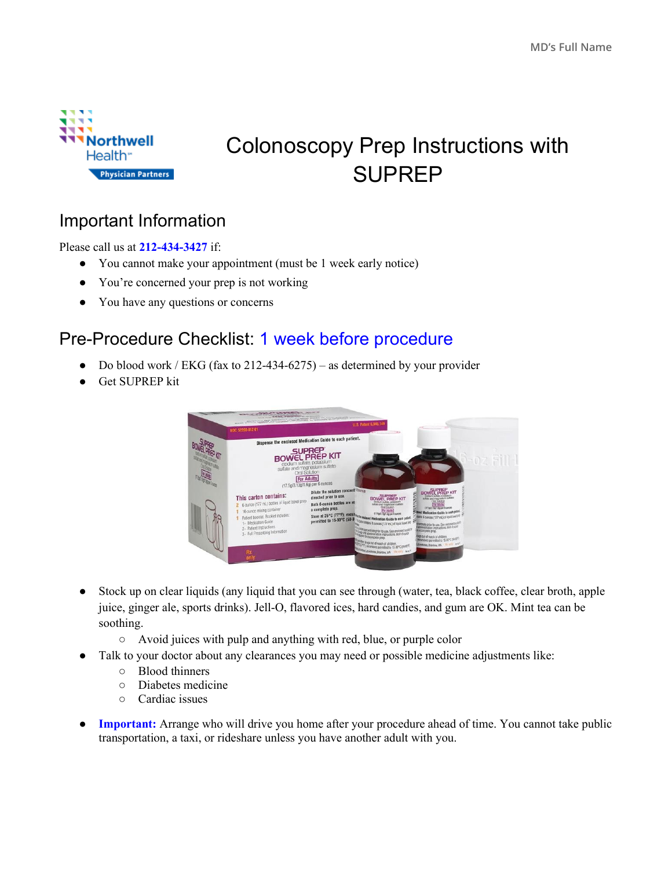

# Colonoscopy Prep Instructions with SUPREP

#### Important Information

Please call us at **212-434-3427** if:

- You cannot make your appointment (must be 1 week early notice)
- You're concerned your prep is not working
- You have any questions or concerns

### Pre-Procedure Checklist: 1 week before procedure

- Do blood work / EKG (fax to 212-434-6275) as determined by your provider
- Get SUPREP kit



- Stock up on clear liquids (any liquid that you can see through (water, tea, black coffee, clear broth, apple juice, ginger ale, sports drinks). Jell-O, flavored ices, hard candies, and gum are OK. Mint tea can be soothing.
	- Avoid juices with pulp and anything with red, blue, or purple color
- Talk to your doctor about any clearances you may need or possible medicine adjustments like:
	- Blood thinners
	- Diabetes medicine
	- Cardiac issues
- **Important:** Arrange who will drive you home after your procedure ahead of time. You cannot take public transportation, a taxi, or rideshare unless you have another adult with you.